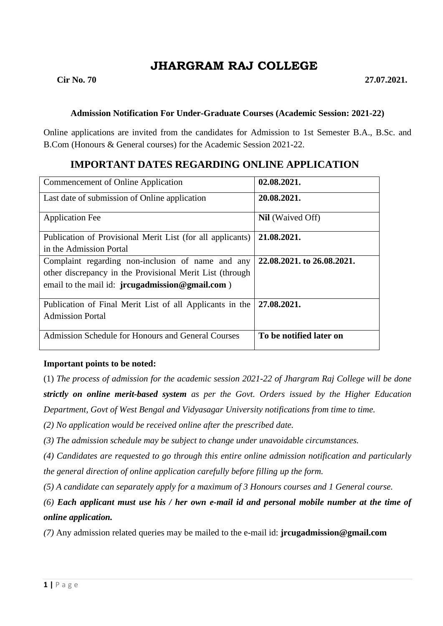# **JHARGRAM RAJ COLLEGE**

### **Admission Notification For Under-Graduate Courses (Academic Session: 2021-22)**

Online applications are invited from the candidates for Admission to 1st Semester B.A., B.Sc. and B.Com (Honours & General courses) for the Academic Session 2021-22.

# **IMPORTANT DATES REGARDING ONLINE APPLICATION**

| Commencement of Online Application                         | 02.08.2021.                |
|------------------------------------------------------------|----------------------------|
| Last date of submission of Online application              | 20.08.2021.                |
| <b>Application Fee</b>                                     | <b>Nil</b> (Waived Off)    |
| Publication of Provisional Merit List (for all applicants) | 21.08.2021.                |
| in the Admission Portal                                    |                            |
| Complaint regarding non-inclusion of name and any          | 22,08,2021, to 26,08,2021. |
| other discrepancy in the Provisional Merit List (through   |                            |
| email to the mail id: jrcugadmission@gmail.com)            |                            |
|                                                            |                            |
| Publication of Final Merit List of all Applicants in the   | 27.08.2021.                |
| <b>Admission Portal</b>                                    |                            |
|                                                            |                            |
| <b>Admission Schedule for Honours and General Courses</b>  | To be notified later on    |
|                                                            |                            |

### **Important points to be noted:**

(1) *The process of admission for the academic session 2021-22 of Jhargram Raj College will be done strictly on online merit-based system as per the Govt. Orders issued by the Higher Education Department, Govt of West Bengal and Vidyasagar University notifications from time to time.*

*(2) No application would be received online after the prescribed date.*

*(3) The admission schedule may be subject to change under unavoidable circumstances.*

*(4) Candidates are requested to go through this entire online admission notification and particularly the general direction of online application carefully before filling up the form.*

*(5) A candidate can separately apply for a maximum of 3 Honours courses and 1 General course.* 

*(6) Each applicant must use his / her own e-mail id and personal mobile number at the time of online application.*

*(7)* Any admission related queries may be mailed to the e-mail id: **jrcugadmission@gmail.com**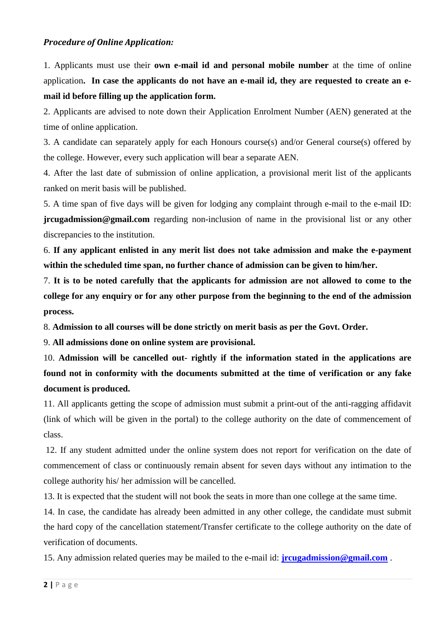### *Procedure of Online Application:*

1. Applicants must use their **own e-mail id and personal mobile number** at the time of online application**. In case the applicants do not have an e-mail id, they are requested to create an email id before filling up the application form.**

2. Applicants are advised to note down their Application Enrolment Number (AEN) generated at the time of online application.

3. A candidate can separately apply for each Honours course(s) and/or General course(s) offered by the college. However, every such application will bear a separate AEN.

4. After the last date of submission of online application, a provisional merit list of the applicants ranked on merit basis will be published.

5. A time span of five days will be given for lodging any complaint through e-mail to the e-mail ID: **jrcugadmission@gmail.com** regarding non-inclusion of name in the provisional list or any other discrepancies to the institution.

6. **If any applicant enlisted in any merit list does not take admission and make the e-payment within the scheduled time span, no further chance of admission can be given to him/her.**

7. **It is to be noted carefully that the applicants for admission are not allowed to come to the college for any enquiry or for any other purpose from the beginning to the end of the admission process.**

8. **Admission to all courses will be done strictly on merit basis as per the Govt. Order.**

9. **All admissions done on online system are provisional.**

10. **Admission will be cancelled out- rightly if the information stated in the applications are found not in conformity with the documents submitted at the time of verification or any fake document is produced.**

11. All applicants getting the scope of admission must submit a print-out of the anti-ragging affidavit (link of which will be given in the portal) to the college authority on the date of commencement of class.

12. If any student admitted under the online system does not report for verification on the date of commencement of class or continuously remain absent for seven days without any intimation to the college authority his/ her admission will be cancelled.

13. It is expected that the student will not book the seats in more than one college at the same time.

14. In case, the candidate has already been admitted in any other college, the candidate must submit the hard copy of the cancellation statement/Transfer certificate to the college authority on the date of verification of documents.

15. Any admission related queries may be mailed to the e-mail id: **[jrcugadmission@gmail.com](mailto:jrcugadmission@gmail.com)** .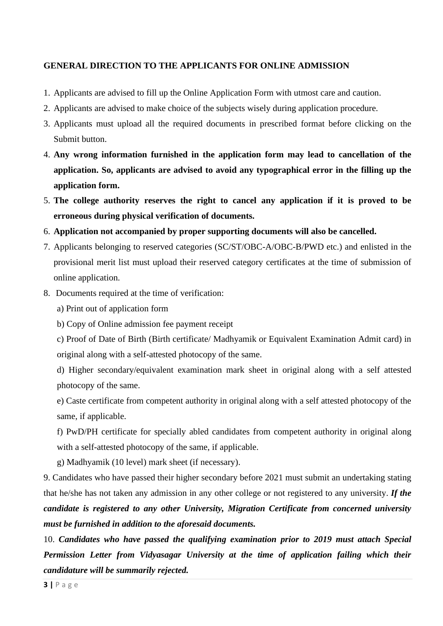### **GENERAL DIRECTION TO THE APPLICANTS FOR ONLINE ADMISSION**

- 1. Applicants are advised to fill up the Online Application Form with utmost care and caution.
- 2. Applicants are advised to make choice of the subjects wisely during application procedure.
- 3. Applicants must upload all the required documents in prescribed format before clicking on the Submit button.
- 4. **Any wrong information furnished in the application form may lead to cancellation of the application. So, applicants are advised to avoid any typographical error in the filling up the application form.**
- 5. **The college authority reserves the right to cancel any application if it is proved to be erroneous during physical verification of documents.**
- 6. **Application not accompanied by proper supporting documents will also be cancelled.**
- 7. Applicants belonging to reserved categories (SC/ST/OBC-A/OBC-B/PWD etc.) and enlisted in the provisional merit list must upload their reserved category certificates at the time of submission of online application.
- 8. Documents required at the time of verification:
	- a) Print out of application form
	- b) Copy of Online admission fee payment receipt

c) Proof of Date of Birth (Birth certificate/ Madhyamik or Equivalent Examination Admit card) in original along with a self-attested photocopy of the same.

d) Higher secondary/equivalent examination mark sheet in original along with a self attested photocopy of the same.

e) Caste certificate from competent authority in original along with a self attested photocopy of the same, if applicable.

f) PwD/PH certificate for specially abled candidates from competent authority in original along with a self-attested photocopy of the same, if applicable.

g) Madhyamik (10 level) mark sheet (if necessary).

9. Candidates who have passed their higher secondary before 2021 must submit an undertaking stating that he/she has not taken any admission in any other college or not registered to any university. *If the candidate is registered to any other University, Migration Certificate from concerned university must be furnished in addition to the aforesaid documents.* 

10. *Candidates who have passed the qualifying examination prior to 2019 must attach Special Permission Letter from Vidyasagar University at the time of application failing which their candidature will be summarily rejected.*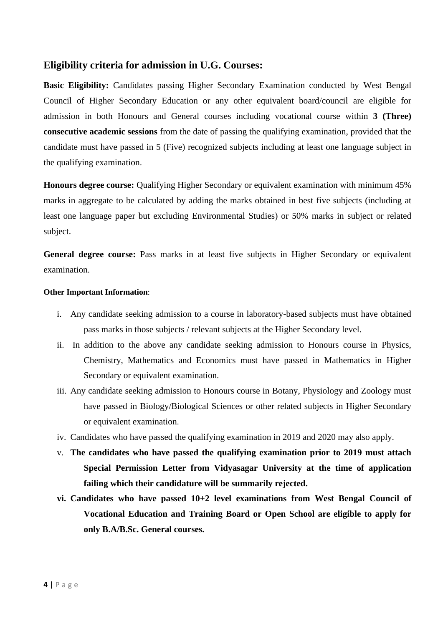## **Eligibility criteria for admission in U.G. Courses:**

**Basic Eligibility:** Candidates passing Higher Secondary Examination conducted by West Bengal Council of Higher Secondary Education or any other equivalent board/council are eligible for admission in both Honours and General courses including vocational course within **3 (Three) consecutive academic sessions** from the date of passing the qualifying examination, provided that the candidate must have passed in 5 (Five) recognized subjects including at least one language subject in the qualifying examination.

**Honours degree course:** Qualifying Higher Secondary or equivalent examination with minimum 45% marks in aggregate to be calculated by adding the marks obtained in best five subjects (including at least one language paper but excluding Environmental Studies) or 50% marks in subject or related subject.

**General degree course:** Pass marks in at least five subjects in Higher Secondary or equivalent examination.

### **Other Important Information**:

- i. Any candidate seeking admission to a course in laboratory-based subjects must have obtained pass marks in those subjects / relevant subjects at the Higher Secondary level.
- ii. In addition to the above any candidate seeking admission to Honours course in Physics, Chemistry, Mathematics and Economics must have passed in Mathematics in Higher Secondary or equivalent examination.
- iii. Any candidate seeking admission to Honours course in Botany, Physiology and Zoology must have passed in Biology/Biological Sciences or other related subjects in Higher Secondary or equivalent examination.
- iv. Candidates who have passed the qualifying examination in 2019 and 2020 may also apply.
- v. **The candidates who have passed the qualifying examination prior to 2019 must attach Special Permission Letter from Vidyasagar University at the time of application failing which their candidature will be summarily rejected.**
- **vi. Candidates who have passed 10+2 level examinations from West Bengal Council of Vocational Education and Training Board or Open School are eligible to apply for only B.A/B.Sc. General courses.**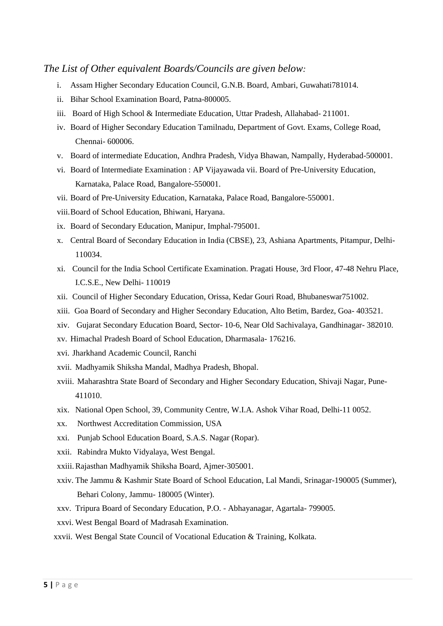### *The List of Other equivalent Boards/Councils are given below:*

- i. Assam Higher Secondary Education Council, G.N.B. Board, Ambari, Guwahati781014.
- ii. Bihar School Examination Board, Patna-800005.
- iii. Board of High School & Intermediate Education, Uttar Pradesh, Allahabad- 211001.
- iv. Board of Higher Secondary Education Tamilnadu, Department of Govt. Exams, College Road, Chennai- 600006.
- v. Board of intermediate Education, Andhra Pradesh, Vidya Bhawan, Nampally, Hyderabad-500001.
- vi. Board of Intermediate Examination : AP Vijayawada vii. Board of Pre-University Education, Karnataka, Palace Road, Bangalore-550001.
- vii. Board of Pre-University Education, Karnataka, Palace Road, Bangalore-550001.
- viii.Board of School Education, Bhiwani, Haryana.
- ix. Board of Secondary Education, Manipur, Imphal-795001.
- x. Central Board of Secondary Education in India (CBSE), 23, Ashiana Apartments, Pitampur, Delhi-110034.
- xi. Council for the India School Certificate Examination. Pragati House, 3rd Floor, 47-48 Nehru Place, I.C.S.E., New Delhi- 110019
- xii. Council of Higher Secondary Education, Orissa, Kedar Gouri Road, Bhubaneswar751002.
- xiii. Goa Board of Secondary and Higher Secondary Education, Alto Betim, Bardez, Goa- 403521.
- xiv. Gujarat Secondary Education Board, Sector- 10-6, Near Old Sachivalaya, Gandhinagar- 382010.
- xv. Himachal Pradesh Board of School Education, Dharmasala- 176216.
- xvi. Jharkhand Academic Council, Ranchi
- xvii. Madhyamik Shiksha Mandal, Madhya Pradesh, Bhopal.
- xviii. Maharashtra State Board of Secondary and Higher Secondary Education, Shivaji Nagar, Pune-411010.
- xix. National Open School, 39, Community Centre, W.I.A. Ashok Vihar Road, Delhi-11 0052.
- xx. Northwest Accreditation Commission, USA
- xxi. Punjab School Education Board, S.A.S. Nagar (Ropar).
- xxii. Rabindra Mukto Vidyalaya, West Bengal.
- xxiii.Rajasthan Madhyamik Shiksha Board, Ajmer-305001.
- xxiv. The Jammu & Kashmir State Board of School Education, Lal Mandi, Srinagar-190005 (Summer), Behari Colony, Jammu- 180005 (Winter).
- xxv. Tripura Board of Secondary Education, P.O. Abhayanagar, Agartala- 799005.
- xxvi. West Bengal Board of Madrasah Examination.
- xxvii. West Bengal State Council of Vocational Education & Training, Kolkata.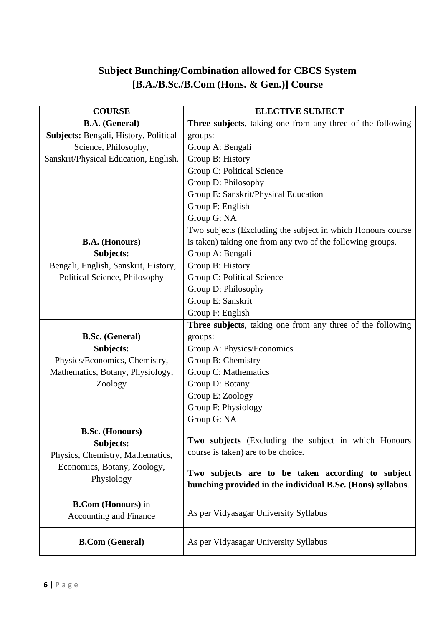# **Subject Bunching/Combination allowed for CBCS System [B.A./B.Sc./B.Com (Hons. & Gen.)] Course**

| <b>COURSE</b>                         | <b>ELECTIVE SUBJECT</b>                                     |  |  |  |  |
|---------------------------------------|-------------------------------------------------------------|--|--|--|--|
| <b>B.A.</b> (General)                 | Three subjects, taking one from any three of the following  |  |  |  |  |
| Subjects: Bengali, History, Political | groups:                                                     |  |  |  |  |
| Science, Philosophy,                  | Group A: Bengali                                            |  |  |  |  |
| Sanskrit/Physical Education, English. | Group B: History                                            |  |  |  |  |
|                                       | Group C: Political Science                                  |  |  |  |  |
|                                       | Group D: Philosophy                                         |  |  |  |  |
|                                       | Group E: Sanskrit/Physical Education                        |  |  |  |  |
|                                       | Group F: English                                            |  |  |  |  |
|                                       | Group G: NA                                                 |  |  |  |  |
|                                       | Two subjects (Excluding the subject in which Honours course |  |  |  |  |
| <b>B.A.</b> (Honours)                 | is taken) taking one from any two of the following groups.  |  |  |  |  |
| Subjects:                             | Group A: Bengali                                            |  |  |  |  |
| Bengali, English, Sanskrit, History,  | Group B: History                                            |  |  |  |  |
| Political Science, Philosophy         | Group C: Political Science                                  |  |  |  |  |
|                                       | Group D: Philosophy                                         |  |  |  |  |
|                                       | Group E: Sanskrit                                           |  |  |  |  |
|                                       | Group F: English                                            |  |  |  |  |
|                                       | Three subjects, taking one from any three of the following  |  |  |  |  |
| <b>B.Sc.</b> (General)                | groups:                                                     |  |  |  |  |
| Subjects:                             | Group A: Physics/Economics                                  |  |  |  |  |
| Physics/Economics, Chemistry,         | Group B: Chemistry                                          |  |  |  |  |
| Mathematics, Botany, Physiology,      | Group C: Mathematics                                        |  |  |  |  |
| Zoology                               | Group D: Botany                                             |  |  |  |  |
|                                       | Group E: Zoology                                            |  |  |  |  |
|                                       | Group F: Physiology                                         |  |  |  |  |
|                                       | Group G: NA                                                 |  |  |  |  |
| <b>B.Sc.</b> (Honours)                |                                                             |  |  |  |  |
| Subjects:                             | <b>Two subjects</b> (Excluding the subject in which Honours |  |  |  |  |
| Physics, Chemistry, Mathematics,      | course is taken) are to be choice.                          |  |  |  |  |
| Economics, Botany, Zoology,           |                                                             |  |  |  |  |
| Physiology                            | Two subjects are to be taken according to subject           |  |  |  |  |
|                                       | bunching provided in the individual B.Sc. (Hons) syllabus.  |  |  |  |  |
| <b>B.Com</b> (Honours) in             |                                                             |  |  |  |  |
| <b>Accounting and Finance</b>         | As per Vidyasagar University Syllabus                       |  |  |  |  |
|                                       |                                                             |  |  |  |  |
| <b>B.Com</b> (General)                | As per Vidyasagar University Syllabus                       |  |  |  |  |
|                                       |                                                             |  |  |  |  |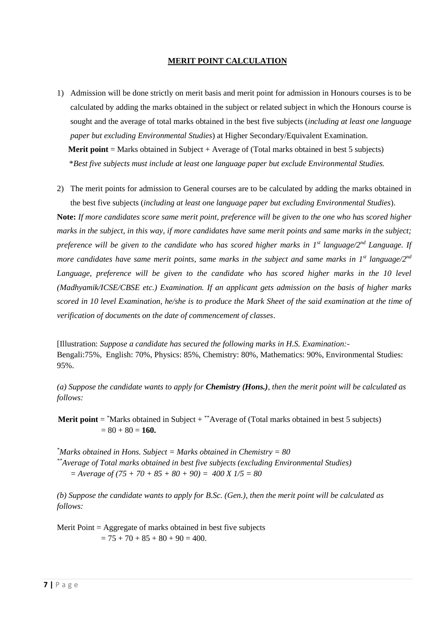#### **MERIT POINT CALCULATION**

- 1) Admission will be done strictly on merit basis and merit point for admission in Honours courses is to be calculated by adding the marks obtained in the subject or related subject in which the Honours course is sought and the average of total marks obtained in the best five subjects (*including at least one language paper but excluding Environmental Studies*) at Higher Secondary/Equivalent Examination. **Merit point** = Marks obtained in Subject + Average of (Total marks obtained in best 5 subjects) \**Best five subjects must include at least one language paper but exclude Environmental Studies.*
- 2) The merit points for admission to General courses are to be calculated by adding the marks obtained in the best five subjects (*including at least one language paper but excluding Environmental Studies*).

**Note:** *If more candidates score same merit point, preference will be given to the one who has scored higher marks in the subject, in this way, if more candidates have same merit points and same marks in the subject; preference will be given to the candidate who has scored higher marks in 1st language/2nd Language. If more candidates have same merit points, same marks in the subject and same marks in 1st language/2nd* Language, preference will be given to the candidate who has scored higher marks in the 10 level *(Madhyamik/ICSE/CBSE etc.) Examination. If an applicant gets admission on the basis of higher marks scored in 10 level Examination, he/she is to produce the Mark Sheet of the said examination at the time of verification of documents on the date of commencement of classes*.

[Illustration: *Suppose a candidate has secured the following marks in H.S. Examination:-* Bengali:75%, English: 70%, Physics: 85%, Chemistry: 80%, Mathematics: 90%, Environmental Studies: 95%.

*(a) Suppose the candidate wants to apply for Chemistry (Hons.), then the merit point will be calculated as follows:*

**Merit point**  $=$  \*Marks obtained in Subject  $+$  \*\*Average of (Total marks obtained in best 5 subjects)  $= 80 + 80 = 160.$ 

*\*Marks obtained in Hons. Subject = Marks obtained in Chemistry = 80 \*\*Average of Total marks obtained in best five subjects (excluding Environmental Studies) = Average of (75 + 70 + 85 + 80 + 90) = 400 X 1/5 = 80*

*(b) Suppose the candidate wants to apply for B.Sc. (Gen.), then the merit point will be calculated as follows:*

Merit Point  $=$  Aggregate of marks obtained in best five subjects  $= 75 + 70 + 85 + 80 + 90 = 400.$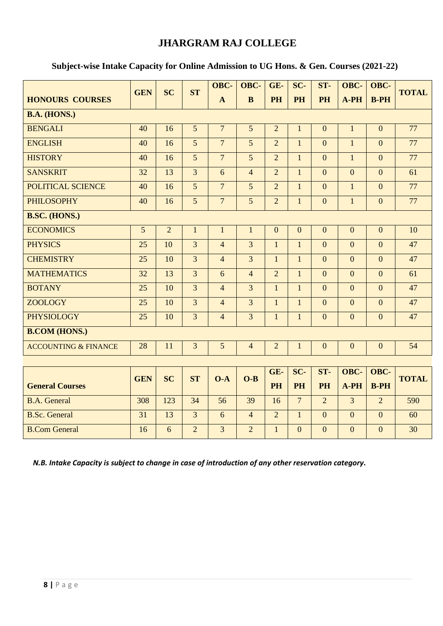# **JHARGRAM RAJ COLLEGE**

|                                 | <b>GEN</b> | <b>SC</b>      | <b>ST</b>      | OBC-           | OBC-           | GE-              | SC-              | ST-              | OBC-             | OBC-             | <b>TOTAL</b> |
|---------------------------------|------------|----------------|----------------|----------------|----------------|------------------|------------------|------------------|------------------|------------------|--------------|
| <b>HONOURS COURSES</b>          |            |                |                | $\mathbf{A}$   | $\mathbf{B}$   | <b>PH</b>        | <b>PH</b>        | PH               | A-PH             | $B-PH$           |              |
| <b>B.A. (HONS.)</b>             |            |                |                |                |                |                  |                  |                  |                  |                  |              |
| <b>BENGALI</b>                  | 40         | 16             | 5              | $\overline{7}$ | 5              | $\overline{2}$   | $\mathbf{1}$     | $\boldsymbol{0}$ | $\mathbf{1}$     | $\overline{0}$   | 77           |
| <b>ENGLISH</b>                  | 40         | 16             | 5              | $\overline{7}$ | 5              | $\overline{2}$   | $\mathbf{1}$     | $\Omega$         | $\mathbf{1}$     | $\overline{0}$   | 77           |
| <b>HISTORY</b>                  | 40         | 16             | 5              | $\overline{7}$ | 5              | $\overline{2}$   | $\mathbf{1}$     | $\Omega$         | $\mathbf{1}$     | $\overline{0}$   | 77           |
| <b>SANSKRIT</b>                 | 32         | 13             | 3              | 6              | $\overline{4}$ | $\overline{2}$   | $\mathbf{1}$     | $\overline{0}$   | $\overline{0}$   | $\overline{0}$   | 61           |
| POLITICAL SCIENCE               | 40         | 16             | 5              | $\overline{7}$ | 5              | $\overline{2}$   | $\mathbf{1}$     | $\overline{0}$   | $\mathbf{1}$     | $\overline{0}$   | 77           |
| <b>PHILOSOPHY</b>               | 40         | 16             | 5              | $\overline{7}$ | 5              | $\overline{2}$   | $\mathbf{1}$     | $\overline{0}$   | $\mathbf{1}$     | $\overline{0}$   | 77           |
| <b>B.SC. (HONS.)</b>            |            |                |                |                |                |                  |                  |                  |                  |                  |              |
| <b>ECONOMICS</b>                | 5          | $\overline{2}$ | $\mathbf{1}$   | $\mathbf{1}$   | $\mathbf{1}$   | $\boldsymbol{0}$ | $\boldsymbol{0}$ | $\boldsymbol{0}$ | $\boldsymbol{0}$ | $\boldsymbol{0}$ | 10           |
| <b>PHYSICS</b>                  | 25         | 10             | 3              | $\overline{4}$ | $\overline{3}$ | $\mathbf{1}$     | $\mathbf{1}$     | $\overline{0}$   | $\overline{0}$   | $\overline{0}$   | 47           |
| <b>CHEMISTRY</b>                | 25         | 10             | 3              | $\overline{4}$ | $\overline{3}$ | $\mathbf{1}$     | $\mathbf{1}$     | $\overline{0}$   | $\overline{0}$   | $\overline{0}$   | 47           |
| <b>MATHEMATICS</b>              | 32         | 13             | 3              | 6              | $\overline{4}$ | $\overline{2}$   | $\mathbf{1}$     | $\overline{0}$   | $\overline{0}$   | $\overline{0}$   | 61           |
| <b>BOTANY</b>                   | 25         | 10             | $\overline{3}$ | $\overline{4}$ | $\overline{3}$ | $\mathbf{1}$     | $\mathbf{1}$     | $\overline{0}$   | $\overline{0}$   | $\overline{0}$   | 47           |
| <b>ZOOLOGY</b>                  | 25         | 10             | 3              | $\overline{4}$ | $\overline{3}$ | $\mathbf{1}$     | $\mathbf{1}$     | $\overline{0}$   | $\overline{0}$   | $\overline{0}$   | 47           |
| <b>PHYSIOLOGY</b>               | 25         | 10             | 3              | $\overline{4}$ | $\overline{3}$ | $\mathbf{1}$     | $\mathbf{1}$     | $\overline{0}$   | $\mathbf{0}$     | $\overline{0}$   | 47           |
| <b>B.COM (HONS.)</b>            |            |                |                |                |                |                  |                  |                  |                  |                  |              |
| <b>ACCOUNTING &amp; FINANCE</b> | 28         | 11             | 3              | 5              | $\overline{4}$ | $\overline{2}$   | $\mathbf{1}$     | $\mathbf{0}$     | $\mathbf{0}$     | $\mathbf{0}$     | 54           |
|                                 |            |                |                |                |                |                  |                  |                  |                  |                  |              |
|                                 | <b>GEN</b> | <b>SC</b>      | <b>ST</b>      | $O-A$          | $O-B$          | GE-              | SC-              | ST-              | OBC-             | OBC-             | <b>TOTAL</b> |
| <b>General Courses</b>          |            |                |                |                |                | <b>PH</b>        | <b>PH</b>        | PH               | $A-PH$           | $B-PH$           |              |
| <b>B.A.</b> General             | 308        | 123            | 34             | 56             | 39             | 16               | $\overline{7}$   | $\overline{2}$   | $\overline{3}$   | $\overline{2}$   | 590          |
| <b>B.Sc. General</b>            | 31         | 13             | $\overline{3}$ | 6              | $\overline{4}$ | $\overline{2}$   | $\mathbf{1}$     | $\overline{0}$   | $\overline{0}$   | $\overline{0}$   | 60           |
| <b>B.Com General</b>            | 16         | 6              | $\overline{2}$ | $\overline{3}$ | $\overline{2}$ | $\mathbf{1}$     | $\Omega$         | $\Omega$         | $\mathbf{0}$     | $\overline{0}$   | 30           |

## **Subject-wise Intake Capacity for Online Admission to UG Hons. & Gen. Courses (2021-22)**

*N.B. Intake Capacity is subject to change in case of introduction of any other reservation category***.**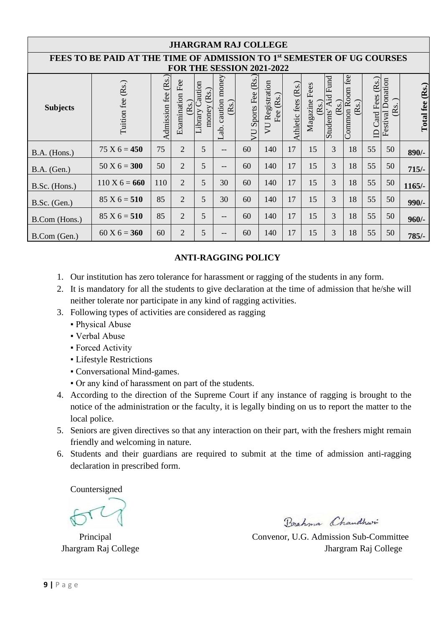| <b>JHARGRAM RAJ COLLEGE</b>                                                                                            |                      |                        |                         |                                     |                               |                    |                                |                     |                          |                                                       |                            |                              |                              |                 |
|------------------------------------------------------------------------------------------------------------------------|----------------------|------------------------|-------------------------|-------------------------------------|-------------------------------|--------------------|--------------------------------|---------------------|--------------------------|-------------------------------------------------------|----------------------------|------------------------------|------------------------------|-----------------|
| FEES TO BE PAID AT THE TIME OF ADMISSION TO 1 <sup>st</sup> SEMESTER OF UG COURSES<br><b>FOR THE SESSION 2021-2022</b> |                      |                        |                         |                                     |                               |                    |                                |                     |                          |                                                       |                            |                              |                              |                 |
| <b>Subjects</b>                                                                                                        | (Rs.)<br>Tuition fee | (Rs.)<br>Admission fee | Examination Fee<br>(Rs. | Caution<br>(Rs.)<br>money<br>ibrary | caution money<br>(Rs.<br>Lab. | VU Sports Fee (Rs. | VU Registration<br>(Rs.<br>Fee | Athletic fees (Rs.) | Fees<br>Magazine<br>(Rs. | Fund<br>Àid<br>S<br>$\tilde{\mathbf{g}}$<br>Students' | fee<br>Common Room<br>(Rs. | (Rs.)<br>Card Fees<br>$\Box$ | Donation<br>(Rs.<br>Festival | Total fee (Rs.) |
| B.A. (Hons.)                                                                                                           | $75 X 6 = 450$       | 75                     | $\overline{2}$          | 5                                   | --                            | 60                 | 140                            | 17                  | 15                       | 3                                                     | 18                         | 55                           | 50                           | $890/-$         |
| $B.A.$ (Gen.)                                                                                                          | $50 X 6 = 300$       | 50                     | $\overline{2}$          | 5                                   | --                            | 60                 | 140                            | 17                  | 15                       | 3                                                     | 18                         | 55                           | 50                           | $715/-$         |
| B.Sc. (Hons.)                                                                                                          | $110 X 6 = 660$      | 110                    | $\overline{2}$          | 5                                   | 30                            | 60                 | 140                            | 17                  | 15                       | 3                                                     | 18                         | 55                           | 50                           | $1165/-$        |
| $B.Sc.$ (Gen.)                                                                                                         | $85 X 6 = 510$       | 85                     | $\overline{2}$          | 5                                   | 30                            | 60                 | 140                            | 17                  | 15                       | 3                                                     | 18                         | 55                           | 50                           | $990/-$         |
| B.Com (Hons.)                                                                                                          | $85 X 6 = 510$       | 85                     | 2                       | 5                                   | --                            | 60                 | 140                            | 17                  | 15                       | 3                                                     | 18                         | 55                           | 50                           | $960/-$         |
| B.Com (Gen.)                                                                                                           | $60 X 6 = 360$       | 60                     | $\overline{2}$          | 5                                   | --                            | 60                 | 140                            | 17                  | 15                       | 3                                                     | 18                         | 55                           | 50                           | 785/-           |

## **ANTI-RAGGING POLICY**

- 1. Our institution has zero tolerance for harassment or ragging of the students in any form.
- 2. It is mandatory for all the students to give declaration at the time of admission that he/she will neither tolerate nor participate in any kind of ragging activities.
- 3. Following types of activities are considered as ragging
	- **Physical Abuse**
	- Verbal Abuse
	- **Forced Activity**
	- **Lifestyle Restrictions**
	- Conversational Mind-games.
	- Or any kind of harassment on part of the students.
- 4. According to the direction of the Supreme Court if any instance of ragging is brought to the notice of the administration or the faculty, it is legally binding on us to report the matter to the local police.
- 5. Seniors are given directives so that any interaction on their part, with the freshers might remain friendly and welcoming in nature.
- 6. Students and their guardians are required to submit at the time of admission anti-ragging declaration in prescribed form.

Countersigned

Brahma Chaudhwi

 Principal Convenor, U.G. Admission Sub-Committee Jhargram Raj College Jhargram Raj College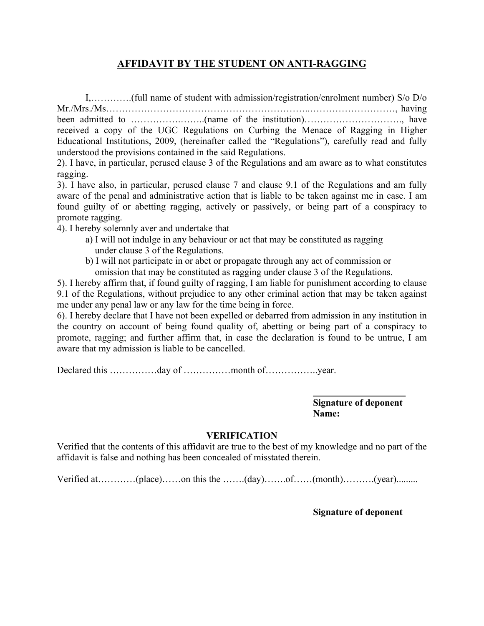# **AFFIDAVIT BY THE STUDENT ON ANTI-RAGGING**

I,………….(full name of student with admission/registration/enrolment number) S/o D/o Mr./Mrs./Ms………………………………………………………..………………………, having been admitted to …………….……..(name of the institution)…………………………., have received a copy of the UGC Regulations on Curbing the Menace of Ragging in Higher Educational Institutions, 2009, (hereinafter called the "Regulations"), carefully read and fully understood the provisions contained in the said Regulations.

2). I have, in particular, perused clause 3 of the Regulations and am aware as to what constitutes ragging.

3). I have also, in particular, perused clause 7 and clause 9.1 of the Regulations and am fully aware of the penal and administrative action that is liable to be taken against me in case. I am found guilty of or abetting ragging, actively or passively, or being part of a conspiracy to promote ragging.

- 4). I hereby solemnly aver and undertake that
	- a) I will not indulge in any behaviour or act that may be constituted as ragging under clause 3 of the Regulations.
	- b) I will not participate in or abet or propagate through any act of commission or omission that may be constituted as ragging under clause 3 of the Regulations.

5). I hereby affirm that, if found guilty of ragging, I am liable for punishment according to clause 9.1 of the Regulations, without prejudice to any other criminal action that may be taken against me under any penal law or any law for the time being in force.

6). I hereby declare that I have not been expelled or debarred from admission in any institution in the country on account of being found quality of, abetting or being part of a conspiracy to promote, ragging; and further affirm that, in case the declaration is found to be untrue, I am aware that my admission is liable to be cancelled.

Declared this ……………day of ……………month of……………..year.

**Signature of deponent Name:**

### **VERIFICATION**

Verified that the contents of this affidavit are true to the best of my knowledge and no part of the affidavit is false and nothing has been concealed of misstated therein.

Verified at…………(place)……on this the …….(day)……of……(month)……….(year)………

**Signature of deponent**